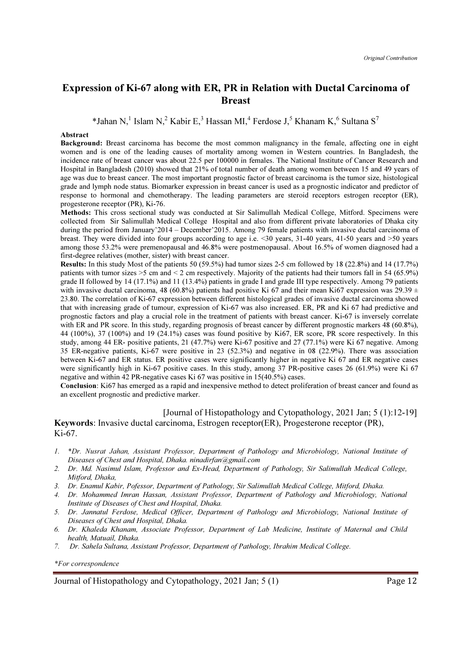# Expression of Ki-67 along with ER, PR in Relation with Ductal Carcinoma of **Breast**

\*Jahan N,<sup>1</sup> Islam N,<sup>2</sup> Kabir E,<sup>3</sup> Hassan MI,<sup>4</sup> Ferdose J,<sup>5</sup> Khanam K,<sup>6</sup> Sultana S<sup>7</sup>

#### Abstract

Background: Breast carcinoma has become the most common malignancy in the female, affecting one in eight women and is one of the leading causes of mortality among women in Western countries. In Bangladesh, the incidence rate of breast cancer was about 22.5 per 100000 in females. The National Institute of Cancer Research and Hospital in Bangladesh (2010) showed that 21% of total number of death among women between 15 and 49 years of age was due to breast cancer. The most important prognostic factor of breast carcinoma is the tumor size, histological grade and lymph node status. Biomarker expression in breast cancer is used as a prognostic indicator and predictor of response to hormonal and chemotherapy. The leading parameters are steroid receptors estrogen receptor (ER), progesterone receptor (PR), Ki-76.

Methods: This cross sectional study was conducted at Sir Salimullah Medical College, Mitford. Specimens were collected from Sir Salimullah Medical College Hospital and also from different private laboratories of Dhaka city during the period from January'2014 – December'2015. Among 79 female patients with invasive ductal carcinoma of breast. They were divided into four groups according to age i.e. <30 years, 31-40 years, 41-50 years and >50 years among those 53.2% were premenopausal and 46.8% were postmenopausal. About 16.5% of women diagnosed had a first-degree relatives (mother, sister) with breast cancer.

Results: In this study Most of the patients 50 (59.5%) had tumor sizes 2-5 cm followed by 18 (22.8%) and 14 (17.7%) patients with tumor sizes >5 cm and < 2 cm respectively. Majority of the patients had their tumors fall in 54 (65.9%) grade II followed by 14 (17.1%) and 11 (13.4%) patients in grade I and grade III type respectively. Among 79 patients with invasive ductal carcinoma, 48 (60.8%) patients had positive Ki 67 and their mean Ki67 expression was 29.39  $\pm$ 23.80. The correlation of Ki-67 expression between different histological grades of invasive ductal carcinoma showed that with increasing grade of tumour, expression of Ki-67 was also increased. ER, PR and Ki 67 had predictive and prognostic factors and play a crucial role in the treatment of patients with breast cancer. Ki-67 is inversely correlate with ER and PR score. In this study, regarding prognosis of breast cancer by different prognostic markers 48 (60.8%), 44 (100%), 37 (100%) and 19 (24.1%) cases was found positive by Ki67, ER score, PR score respectively. In this study, among 44 ER- positive patients, 21 (47.7%) were Ki-67 positive and 27 (77.1%) were Ki 67 negative. Among 35 ER-negative patients, Ki-67 were positive in 23 (52.3%) and negative in 08 (22.9%). There was association between Ki-67 and ER status. ER positive cases were significantly higher in negative Ki 67 and ER negative cases were significantly high in Ki-67 positive cases. In this study, among 37 PR-positive cases 26 (61.9%) were Ki 67 negative and within 42 PR-negative cases Ki 67 was positive in 15(40.5%) cases.

Conclusion: Ki67 has emerged as a rapid and inexpensive method to detect proliferation of breast cancer and found as an excellent prognostic and predictive marker.

[Journal of Histopathology and Cytopathology, 2021 Jan; 5 (1):12-19] Keywords: Invasive ductal carcinoma, Estrogen receptor(ER), Progesterone receptor (PR), Ki-67.

- 1. \*Dr. Nusrat Jahan, Assistant Professor, Department of Pathology and Microbiology, National Institute of Diseases of Chest and Hospital, Dhaka. ninadirfan@gmail.com
- 2. Dr. Md. Nasimul Islam, Professor and Ex-Head, Department of Pathology, Sir Salimullah Medical College, Mitford, Dhaka,
- 3. Dr. Enamul Kabir, Pofessor, Department of Pathology, Sir Salimullah Medical College, Mitford, Dhaka.
- 4. Dr. Mohammed Imran Hassan, Assistant Professor, Department of Pathology and Microbiology, National Institute of Diseases of Chest and Hospital, Dhaka.
- 5. Dr. Jannatul Ferdose, Medical Officer, Department of Pathology and Microbiology, National Institute of Diseases of Chest and Hospital, Dhaka.
- 6. Dr. Khaleda Khanam, Associate Professor, Department of Lab Medicine, Institute of Maternal and Child health, Matuail, Dhaka.
- 7. Dr. Sahela Sultana, Assistant Professor, Department of Pathology, Ibrahim Medical College.

\*For correspondence

Journal of Histopathology and Cytopathology, 2021 Jan; 5 (1) Page 12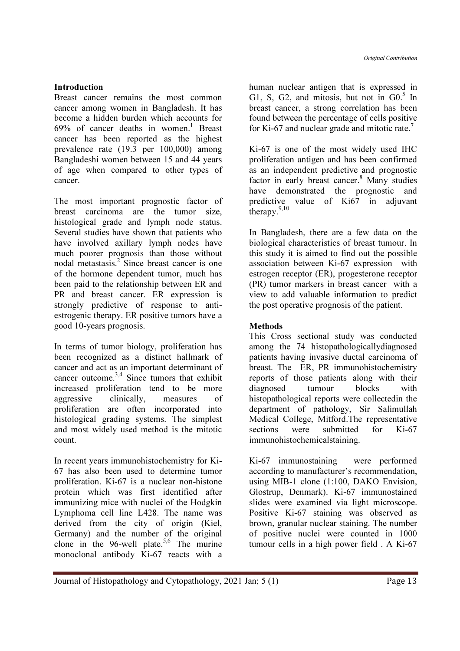## Introduction

Breast cancer remains the most common cancer among women in Bangladesh. It has become a hidden burden which accounts for  $69%$  of cancer deaths in women.<sup>1</sup> Breast cancer has been reported as the highest prevalence rate (19.3 per 100,000) among Bangladeshi women between 15 and 44 years of age when compared to other types of cancer.

The most important prognostic factor of breast carcinoma are the tumor size, histological grade and lymph node status. Several studies have shown that patients who have involved axillary lymph nodes have much poorer prognosis than those without nodal metastasis.<sup>2</sup> Since breast cancer is one of the hormone dependent tumor, much has been paid to the relationship between ER and PR and breast cancer. ER expression is strongly predictive of response to antiestrogenic therapy. ER positive tumors have a good 10-years prognosis.

In terms of tumor biology, proliferation has been recognized as a distinct hallmark of cancer and act as an important determinant of cancer outcome.<sup>3,4</sup> Since tumors that exhibit increased proliferation tend to be more aggressive clinically, measures of proliferation are often incorporated into histological grading systems. The simplest and most widely used method is the mitotic count.

In recent years immunohistochemistry for Ki-67 has also been used to determine tumor proliferation. Ki-67 is a nuclear non-histone protein which was first identified after immunizing mice with nuclei of the Hodgkin Lymphoma cell line L428. The name was derived from the city of origin (Kiel, Germany) and the number of the original clone in the 96-well plate.<sup>5,6</sup> The murine monoclonal antibody Ki-67 reacts with a

human nuclear antigen that is expressed in G1, S, G2, and mitosis, but not in  $G0<sup>5</sup>$  In breast cancer, a strong correlation has been found between the percentage of cells positive for Ki-67 and nuclear grade and mitotic rate.<sup>7</sup>

Ki-67 is one of the most widely used IHC proliferation antigen and has been confirmed as an independent predictive and prognostic factor in early breast cancer.<sup>8</sup> Many studies have demonstrated the prognostic and predictive value of Ki67 in adjuvant therapy.<sup>9,10</sup>

In Bangladesh, there are a few data on the biological characteristics of breast tumour. In this study it is aimed to find out the possible association between Ki-67 expression with estrogen receptor (ER), progesterone receptor (PR) tumor markers in breast cancer with a view to add valuable information to predict the post operative prognosis of the patient.

## Methods

This Cross sectional study was conducted among the 74 histopathologicallydiagnosed patients having invasive ductal carcinoma of breast. The ER, PR immunohistochemistry reports of those patients along with their diagnosed tumour blocks with histopathological reports were collectedin the department of pathology, Sir Salimullah Medical College, Mitford.The representative sections were submitted for Ki-67 immunohistochemicalstaining.

Ki-67 immunostaining were performed according to manufacturer's recommendation, using MIB-1 clone (1:100, DAKO Envision, Glostrup, Denmark). Ki-67 immunostained slides were examined via light microscope. Positive Ki-67 staining was observed as brown, granular nuclear staining. The number of positive nuclei were counted in 1000 tumour cells in a high power field . A Ki-67

Journal of Histopathology and Cytopathology, 2021 Jan; 5 (1) Page 13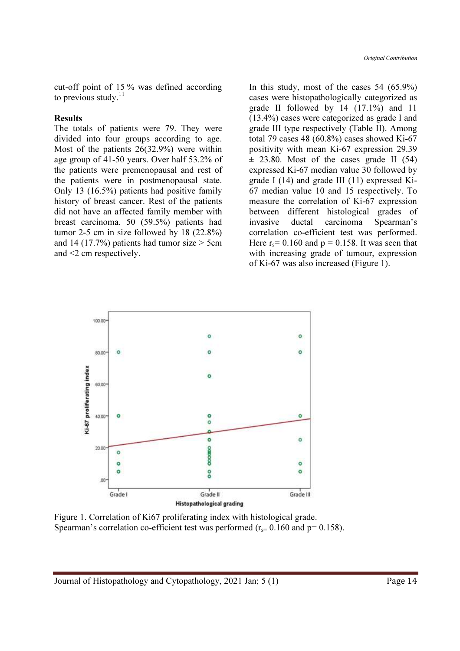cut-off point of 15 % was defined according to previous study. $^{11}$ 

#### **Results**

The totals of patients were 79. They were divided into four groups according to age. Most of the patients 26(32.9%) were within age group of 41-50 years. Over half 53.2% of the patients were premenopausal and rest of the patients were in postmenopausal state. Only 13 (16.5%) patients had positive family history of breast cancer. Rest of the patients did not have an affected family member with breast carcinoma. 50 (59.5%) patients had tumor 2-5 cm in size followed by 18 (22.8%) and 14 (17.7%) patients had tumor size  $>$  5cm and <2 cm respectively.

In this study, most of the cases 54 (65.9%) cases were histopathologically categorized as grade II followed by 14 (17.1%) and 11 (13.4%) cases were categorized as grade I and grade III type respectively (Table II). Among total 79 cases 48 (60.8%) cases showed Ki-67 positivity with mean Ki-67 expression 29.39  $\pm$  23.80. Most of the cases grade II (54) expressed Ki-67 median value 30 followed by grade I (14) and grade III (11) expressed Ki-67 median value 10 and 15 respectively. To measure the correlation of Ki-67 expression between different histological grades of invasive ductal carcinoma Spearman's correlation co-efficient test was performed. Here  $r_s$  = 0.160 and  $p = 0.158$ . It was seen that with increasing grade of tumour, expression of Ki-67 was also increased (Figure 1).



Figure 1. Correlation of Ki67 proliferating index with histological grade. Spearman's correlation co-efficient test was performed ( $r_s$ = 0.160 and p= 0.158).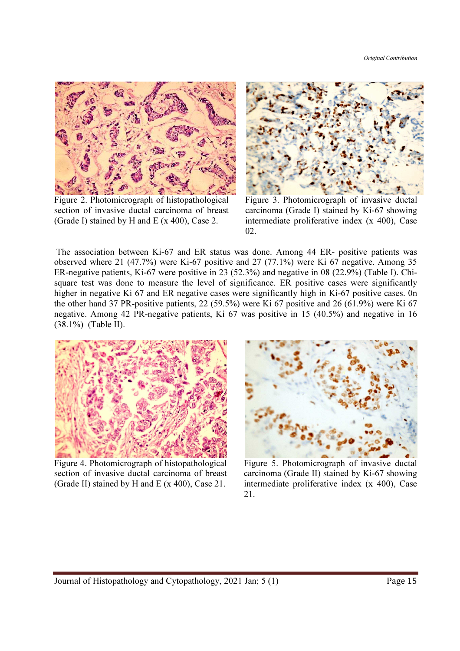

Figure 2. Photomicrograph of histopathological section of invasive ductal carcinoma of breast (Grade I) stained by H and E (x 400), Case 2.



Figure 3. Photomicrograph of invasive ductal carcinoma (Grade I) stained by Ki-67 showing intermediate proliferative index (x 400), Case 02.

 The association between Ki-67 and ER status was done. Among 44 ER- positive patients was observed where 21 (47.7%) were Ki-67 positive and 27 (77.1%) were Ki 67 negative. Among 35 ER-negative patients, Ki-67 were positive in 23 (52.3%) and negative in 08 (22.9%) (Table I). Chisquare test was done to measure the level of significance. ER positive cases were significantly higher in negative Ki 67 and ER negative cases were significantly high in Ki-67 positive cases. 0n the other hand 37 PR-positive patients, 22 (59.5%) were Ki 67 positive and 26 (61.9%) were Ki 67 negative. Among 42 PR-negative patients, Ki 67 was positive in 15 (40.5%) and negative in 16 (38.1%) (Table II).



Figure 4. Photomicrograph of histopathological section of invasive ductal carcinoma of breast (Grade II) stained by H and E (x 400), Case 21.



 Figure 5. Photomicrograph of invasive ductal carcinoma (Grade II) stained by Ki-67 showing intermediate proliferative index (x 400), Case 21.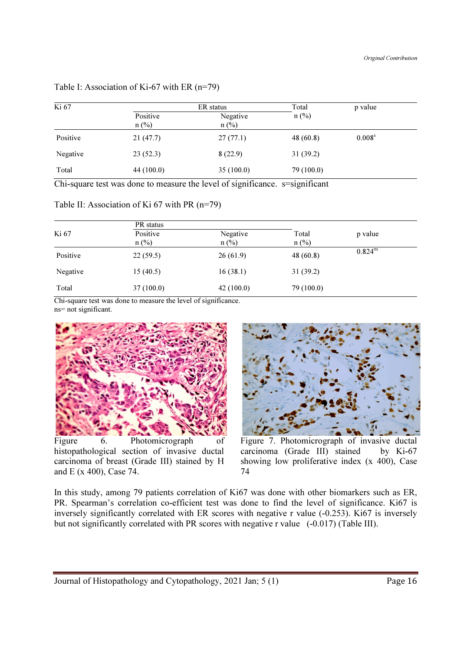| Ki 67    | ER status  |           | Total      | p value            |
|----------|------------|-----------|------------|--------------------|
|          | Positive   | Negative  | $n$ (%)    |                    |
|          | $n$ (%)    | $n$ (%)   |            |                    |
| Positive | 21(47.7)   | 27(77.1)  | 48(60.8)   | 0.008 <sup>s</sup> |
| Negative | 23(52.3)   | 8(22.9)   | 31(39.2)   |                    |
| Total    | 44 (100.0) | 35(100.0) | 79 (100.0) |                    |

Table I: Association of Ki-67 with ER (n=79)

Chi-square test was done to measure the level of significance. s=significant

Table II: Association of Ki 67 with PR (n=79)

|          | PR status           |                     |                  |              |
|----------|---------------------|---------------------|------------------|--------------|
| Ki 67    | Positive<br>$n$ (%) | Negative<br>$n$ (%) | Total<br>$n$ (%) | p value      |
| Positive | 22(59.5)            | 26(61.9)            | 48(60.8)         | $0.824^{ns}$ |
| Negative | 15(40.5)            | 16(38.1)            | 31(39.2)         |              |
| Total    | 37(100.0)           | 42(100.0)           | 79 (100.0)       |              |

Chi-square test was done to measure the level of significance. ns= not significant.



Figure 6. Photomicrograph histopathological section of invasive ductal carcinoma of breast (Grade III) stained by H and E (x 400), Case 74.



Figure 7. Photomicrograph of invasive ductal carcinoma (Grade III) stained by Ki-67 showing low proliferative index (x 400), Case 74

In this study, among 79 patients correlation of Ki67 was done with other biomarkers such as ER, PR. Spearman's correlation co-efficient test was done to find the level of significance. Ki67 is inversely significantly correlated with ER scores with negative r value (-0.253). Ki67 is inversely but not significantly correlated with PR scores with negative r value (-0.017) (Table III).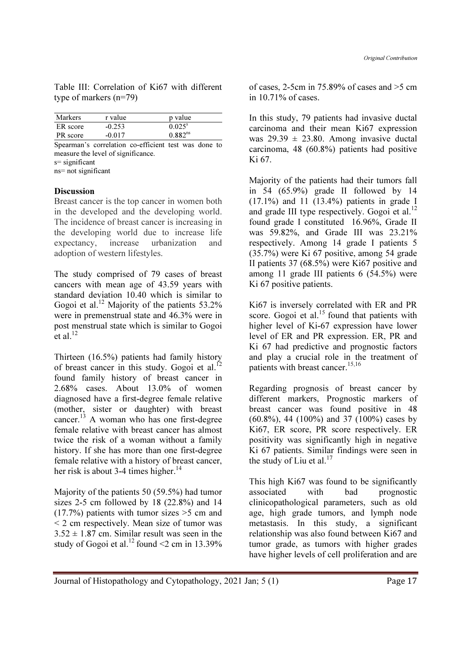Table III: Correlation of Ki67 with different type of markers (n=79)

| Markers  | r value  | p value         |  |
|----------|----------|-----------------|--|
| ER score | $-0.253$ | $0.025^{\rm s}$ |  |
| PR score | $-0.017$ | $0.882^{ns}$    |  |

Spearman's correlation co-efficient test was done to measure the level of significance.

s= significant

ns= not significant

### Discussion

Breast cancer is the top cancer in women both in the developed and the developing world. The incidence of breast cancer is increasing in the developing world due to increase life expectancy, increase urbanization and adoption of western lifestyles.

The study comprised of 79 cases of breast cancers with mean age of 43.59 years with standard deviation 10.40 which is similar to Gogoi et al.<sup>12</sup> Majority of the patients  $53.2\%$ were in premenstrual state and 46.3% were in post menstrual state which is similar to Gogoi  $et$  al.<sup>12</sup>

Thirteen (16.5%) patients had family history of breast cancer in this study. Gogoi et al.<sup>12</sup> found family history of breast cancer in 2.68% cases. About 13.0% of women diagnosed have a first-degree female relative (mother, sister or daughter) with breast cancer.<sup>13</sup> A woman who has one first-degree female relative with breast cancer has almost twice the risk of a woman without a family history. If she has more than one first-degree female relative with a history of breast cancer, her risk is about 3-4 times higher. $^{14}$ 

Majority of the patients 50 (59.5%) had tumor sizes 2-5 cm followed by 18 (22.8%) and 14  $(17.7%)$  patients with tumor sizes  $>5$  cm and < 2 cm respectively. Mean size of tumor was  $3.52 \pm 1.87$  cm. Similar result was seen in the study of Gogoi et al.<sup>12</sup> found <2 cm in 13.39%

of cases, 2-5cm in  $75.89\%$  of cases and  $>5$  cm in 10.71% of cases.

In this study, 79 patients had invasive ductal carcinoma and their mean Ki67 expression was  $29.39 \pm 23.80$ . Among invasive ductal carcinoma, 48 (60.8%) patients had positive Ki 67.

Majority of the patients had their tumors fall in  $54$   $(65.9\%)$  grade II followed by 14 (17.1%) and 11 (13.4%) patients in grade I and grade III type respectively. Gogoi et al. $^{12}$ found grade I constituted 16.96%, Grade II was 59.82%, and Grade III was 23.21% respectively. Among 14 grade I patients 5 (35.7%) were Ki 67 positive, among 54 grade II patients 37 (68.5%) were Ki67 positive and among 11 grade III patients 6 (54.5%) were Ki 67 positive patients.

Ki67 is inversely correlated with ER and PR score. Gogoi et al. $^{15}$  found that patients with higher level of Ki-67 expression have lower level of ER and PR expression. ER, PR and Ki 67 had predictive and prognostic factors and play a crucial role in the treatment of patients with breast cancer.<sup>15,16</sup>

Regarding prognosis of breast cancer by different markers, Prognostic markers of breast cancer was found positive in 48 (60.8%), 44 (100%) and 37 (100%) cases by Ki67, ER score, PR score respectively. ER positivity was significantly high in negative Ki 67 patients. Similar findings were seen in the study of Liu et al. $^{17}$ 

This high Ki67 was found to be significantly associated with bad prognostic clinicopathological parameters, such as old age, high grade tumors, and lymph node metastasis. In this study, a significant relationship was also found between Ki67 and tumor grade, as tumors with higher grades have higher levels of cell proliferation and are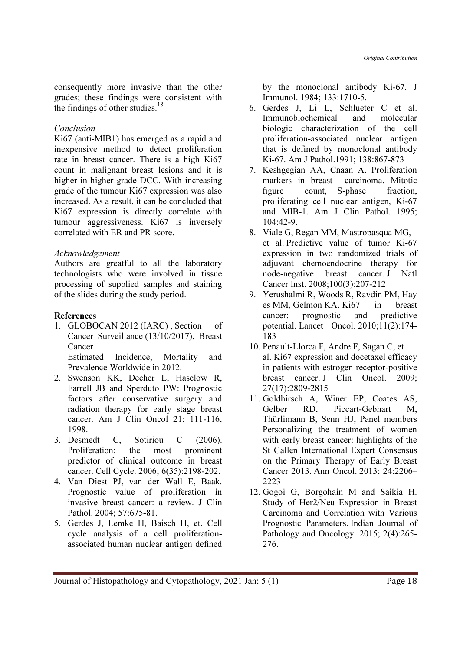consequently more invasive than the other grades; these findings were consistent with the findings of other studies. $18$ 

### Conclusion

Ki67 (anti-MIB1) has emerged as a rapid and inexpensive method to detect proliferation rate in breast cancer. There is a high Ki67 count in malignant breast lesions and it is higher in higher grade DCC. With increasing grade of the tumour Ki67 expression was also increased. As a result, it can be concluded that Ki67 expression is directly correlate with tumour aggressiveness. Ki67 is inversely correlated with ER and PR score.

## Acknowledgement

Authors are greatful to all the laboratory technologists who were involved in tissue processing of supplied samples and staining of the slides during the study period.

## References

1. GLOBOCAN 2012 (IARC) , Section of Cancer Surveillance (13/10/2017), Breast Cancer Estimated Incidence, Mortality and

Prevalence Worldwide in 2012.

- 2. Swenson KK, Decher L, Haselow R, Farrell JB and Sperduto PW: Prognostic factors after conservative surgery and radiation therapy for early stage breast cancer. Am J Clin Oncol 21: 111-116, 1998.
- 3. Desmedt C, Sotiriou C (2006). Proliferation: the most prominent predictor of clinical outcome in breast cancer. Cell Cycle. 2006; 6(35):2198-202.
- 4. Van Diest PJ, van der Wall E, Baak. Prognostic value of proliferation in invasive breast cancer: a review. J Clin Pathol. 2004; 57:675-81.
- 5. Gerdes J, Lemke H, Baisch H, et. Cell cycle analysis of a cell proliferationassociated human nuclear antigen defined

by the monoclonal antibody Ki-67. J Immunol. 1984; 133:1710-5.

- 6. Gerdes J, Li L, Schlueter C et al. Immunobiochemical and molecular biologic characterization of the cell proliferation-associated nuclear antigen that is defined by monoclonal antibody Ki-67. Am J Pathol.1991; 138:867-873
- 7. Keshgegian AA, Cnaan A. Proliferation markers in breast carcinoma. Mitotic figure count, S-phase fraction, proliferating cell nuclear antigen, Ki-67 and MIB-1. Am J Clin Pathol. 1995; 104:42-9.
- 8. Viale G, Regan MM, Mastropasqua MG, et al. Predictive value of tumor Ki-67 expression in two randomized trials of adjuvant chemoendocrine therapy for node-negative breast cancer. J Natl Cancer Inst. 2008;100(3):207-212
- 9. Yerushalmi R, Woods R, Ravdin PM, Hay es MM, Gelmon KA. Ki67 in breast cancer: prognostic and predictive potential. Lancet Oncol. 2010;11(2):174- 183
- 10. Penault-Llorca F, Andre F, Sagan C, et al. Ki67 expression and docetaxel efficacy in patients with estrogen receptor-positive breast cancer. J Clin Oncol. 2009; 27(17):2809-2815
- 11. Goldhirsch A, Winer EP, Coates AS, Gelber RD, Piccart-Gebhart M, Thürlimann B, Senn HJ, Panel members Personalizing the treatment of women with early breast cancer: highlights of the St Gallen International Expert Consensus on the Primary Therapy of Early Breast Cancer 2013. Ann Oncol. 2013; 24:2206– 2223
- 12. Gogoi G, Borgohain M and Saikia H. Study of Her2/Neu Expression in Breast Carcinoma and Correlation with Various Prognostic Parameters. Indian Journal of Pathology and Oncology. 2015; 2(4):265- 276.